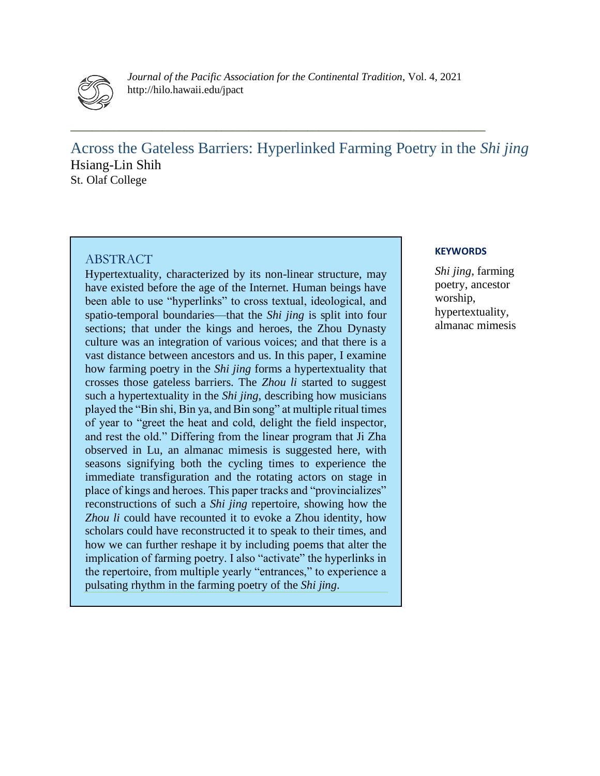

*Journal of the Pacific Association for the Continental Tradition*, Vol. 4, 2021 http://hilo.hawaii.edu/jpact

**\_\_\_\_\_\_\_\_\_\_\_\_\_\_\_\_\_\_\_\_\_\_\_\_\_\_\_\_\_\_\_\_\_\_\_\_\_\_\_\_\_\_\_\_\_\_\_\_\_\_\_\_\_\_\_\_\_\_\_\_\_\_\_\_\_\_\_\_\_\_\_\_\_\_\_\_\_**

Across the Gateless Barriers: Hyperlinked Farming Poetry in the *Shi jing* Hsiang-Lin Shih St. Olaf College

#### ABSTRACT

Hypertextuality, characterized by its non-linear structure, may have existed before the age of the Internet. Human beings have been able to use "hyperlinks" to cross textual, ideological, and spatio-temporal boundaries—that the *Shi jing* is split into four sections; that under the kings and heroes, the Zhou Dynasty culture was an integration of various voices; and that there is a vast distance between ancestors and us. In this paper, I examine how farming poetry in the *Shi jing* forms a hypertextuality that crosses those gateless barriers. The *Zhou li* started to suggest such a hypertextuality in the *Shi jing*, describing how musicians played the "Bin shi, Bin ya, and Bin song" at multiple ritual times of year to "greet the heat and cold, delight the field inspector, and rest the old." Differing from the linear program that Ji Zha observed in Lu, an almanac mimesis is suggested here, with seasons signifying both the cycling times to experience the immediate transfiguration and the rotating actors on stage in place of kings and heroes. This paper tracks and "provincializes" reconstructions of such a *Shi jing* repertoire, showing how the *Zhou li* could have recounted it to evoke a Zhou identity, how scholars could have reconstructed it to speak to their times, and how we can further reshape it by including poems that alter the implication of farming poetry. I also "activate" the hyperlinks in the repertoire, from multiple yearly "entrances," to experience a pulsating rhythm in the farming poetry of the *Shi jing*.

#### **KEYWORDS**

*Shi jing*, farming poetry, ancestor worship, hypertextuality, almanac mimesis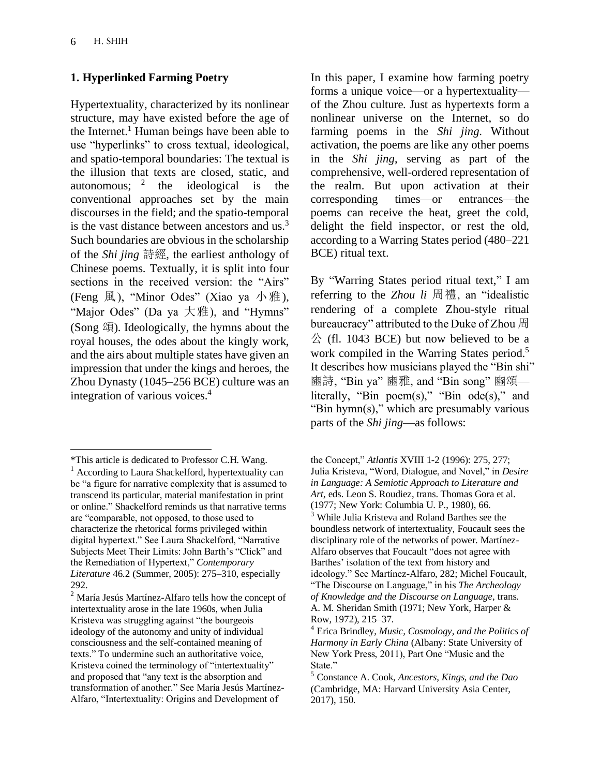# **1. Hyperlinked Farming Poetry**

Hypertextuality, characterized by its nonlinear structure, may have existed before the age of the Internet.<sup>1</sup> Human beings have been able to use "hyperlinks" to cross textual, ideological, and spatio-temporal boundaries: The textual is the illusion that texts are closed, static, and autonomous:  $2^2$ the ideological is the conventional approaches set by the main discourses in the field; and the spatio-temporal is the vast distance between ancestors and  $us^3$ . Such boundaries are obvious in the scholarship of the *Shi jing* 詩經, the earliest anthology of Chinese poems. Textually, it is split into four sections in the received version: the "Airs" (Feng 風), "Minor Odes" (Xiao ya 小雅), "Major Odes" (Da ya 大雅), and "Hymns" (Song 頌). Ideologically, the hymns about the royal houses, the odes about the kingly work, and the airs about multiple states have given an impression that under the kings and heroes, the Zhou Dynasty (1045–256 BCE) culture was an integration of various voices.<sup>4</sup>

In this paper, I examine how farming poetry forms a unique voice—or a hypertextuality of the Zhou culture. Just as hypertexts form a nonlinear universe on the Internet, so do farming poems in the *Shi jing*. Without activation, the poems are like any other poems in the *Shi jing*, serving as part of the comprehensive, well-ordered representation of the realm. But upon activation at their corresponding times—or entrances—the poems can receive the heat, greet the cold, delight the field inspector, or rest the old, according to a Warring States period (480–221 BCE) ritual text.

By "Warring States period ritual text," I am referring to the *Zhou li* 周禮, an "idealistic rendering of a complete Zhou-style ritual bureaucracy" attributed to the Duke of Zhou 周  $\Diamond$  (fl. 1043 BCE) but now believed to be a work compiled in the Warring States period.<sup>5</sup> It describes how musicians played the "Bin shi" 豳詩, "Bin ya" 豳雅, and "Bin song" 豳頌 literally, "Bin poem(s)," "Bin ode(s)," and "Bin hymn(s)," which are presumably various parts of the *Shi jing*—as follows:

<sup>\*</sup>This article is dedicated to Professor C.H. Wang.

<sup>&</sup>lt;sup>1</sup> According to Laura Shackelford, hypertextuality can be "a figure for narrative complexity that is assumed to transcend its particular, material manifestation in print or online." Shackelford reminds us that narrative terms are "comparable, not opposed, to those used to characterize the rhetorical forms privileged within digital hypertext." See Laura Shackelford, "Narrative Subjects Meet Their Limits: John Barth's "Click" and the Remediation of Hypertext," *Contemporary Literature* 46.2 (Summer, 2005): 275–310, especially 292.

<sup>2</sup> María Jesús Martínez-Alfaro tells how the concept of intertextuality arose in the late 1960s, when Julia Kristeva was struggling against "the bourgeois ideology of the autonomy and unity of individual consciousness and the self-contained meaning of texts." To undermine such an authoritative voice, Kristeva coined the terminology of "intertextuality" and proposed that "any text is the absorption and transformation of another." See María Jesús Martínez-Alfaro, "Intertextuality: Origins and Development of

the Concept," *Atlantis* XVIII 1-2 (1996): 275, 277; Julia Kristeva, "Word, Dialogue, and Novel," in *Desire in Language: A Semiotic Approach to Literature and Art*, eds. Leon S. Roudiez, trans. Thomas Gora et al. (1977; New York: Columbia U. P., 1980), 66. <sup>3</sup> While Julia Kristeva and Roland Barthes see the boundless network of intertextuality, Foucault sees the disciplinary role of the networks of power. Martínez-Alfaro observes that Foucault "does not agree with Barthes' isolation of the text from history and ideology." See Martínez-Alfaro, 282; Michel Foucault, "The Discourse on Language," in his *The Archeology of Knowledge and the Discourse on Language*, trans. A. M. Sheridan Smith (1971; New York, Harper & Row, 1972), 215–37.

<sup>4</sup> Erica Brindley, *Music, Cosmology, and the Politics of Harmony in Early China* (Albany: State University of New York Press, 2011), Part One "Music and the State."

<sup>5</sup> Constance A. Cook, *Ancestors, Kings, and the Dao*  (Cambridge, MA: Harvard University Asia Center, 2017), 150.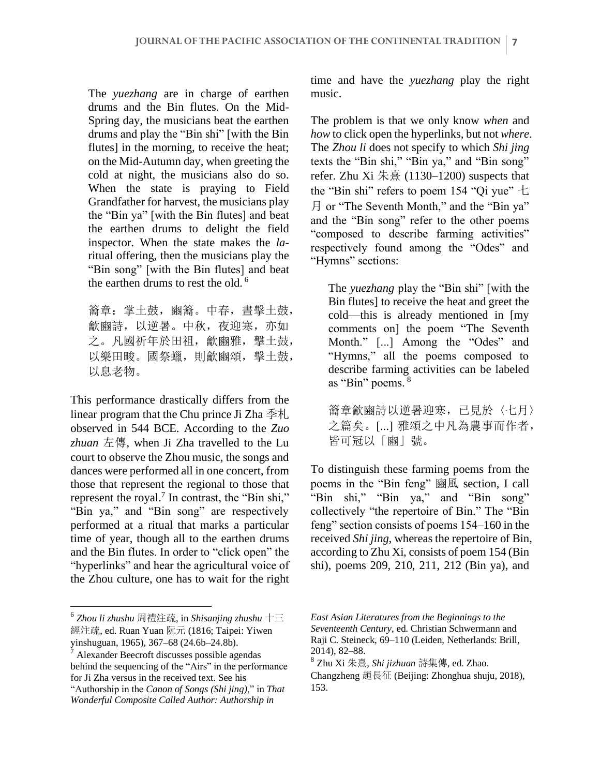The *yuezhang* are in charge of earthen drums and the Bin flutes. On the Mid-Spring day, the musicians beat the earthen drums and play the "Bin shi" [with the Bin flutes] in the morning, to receive the heat; on the Mid-Autumn day, when greeting the cold at night, the musicians also do so. When the state is praying to Field Grandfather for harvest, the musicians play the "Bin ya" [with the Bin flutes] and beat the earthen drums to delight the field inspector. When the state makes the *la*ritual offering, then the musicians play the "Bin song" [with the Bin flutes] and beat the earthen drums to rest the old.<sup>6</sup>

籥章: 掌土鼓, 豳籥。中春, 晝擊土鼓, 龡豳詩,以逆暑。中秋,夜迎寒,亦如 之。凡國祈年於田祖,龡豳雅,擊土鼓, 以樂田畯。國祭蠟,則龡豳頌,擊土鼓, 以息老物。

This performance drastically differs from the linear program that the Chu prince Ji Zha 季札 observed in 544 BCE. According to the *Zuo zhuan* 左傳, when Ji Zha travelled to the Lu court to observe the Zhou music, the songs and dances were performed all in one concert, from those that represent the regional to those that represent the royal.<sup>7</sup> In contrast, the "Bin shi," "Bin ya," and "Bin song" are respectively performed at a ritual that marks a particular time of year, though all to the earthen drums and the Bin flutes. In order to "click open" the "hyperlinks" and hear the agricultural voice of the Zhou culture, one has to wait for the right time and have the *yuezhang* play the right music.

The problem is that we only know *when* and *how* to click open the hyperlinks, but not *where*. The *Zhou li* does not specify to which *Shi jing*  texts the "Bin shi," "Bin ya," and "Bin song" refer. Zhu Xi 朱熹  $(1130-1200)$  suspects that the "Bin shi" refers to poem 154 "Qi yue"  $\pm$ 月 or "The Seventh Month," and the "Bin ya" and the "Bin song" refer to the other poems "composed to describe farming activities" respectively found among the "Odes" and "Hymns" sections:

The *yuezhang* play the "Bin shi" [with the Bin flutes] to receive the heat and greet the cold—this is already mentioned in [my comments on] the poem "The Seventh Month." [...] Among the "Odes" and "Hymns," all the poems composed to describe farming activities can be labeled as "Bin" poems. <sup>8</sup>

籥章龡豳詩以逆暑迎寒,已見於〈七月〉 之篇矣。[...] 雅頌之中凡為農事而作者, 皆可冠以「豳」號。

To distinguish these farming poems from the poems in the "Bin feng" 豳風 section, I call "Bin shi," "Bin ya," and "Bin song" collectively "the repertoire of Bin." The "Bin feng" section consists of poems 154–160 in the received *Shi jing*, whereas the repertoire of Bin, according to Zhu Xi, consists of poem 154 (Bin shi), poems 209, 210, 211, 212 (Bin ya), and

<sup>6</sup> *Zhou li zhushu* 周禮注疏, in *Shisanjing zhushu* 十三 經注疏, ed. Ruan Yuan 阮元 (1816; Taipei: Yiwen yinshuguan, 1965), 367–68 (24.6b–24.8b).

<sup>7</sup> Alexander Beecroft discusses possible agendas behind the sequencing of the "Airs" in the performance for Ji Zha versus in the received text. See his "Authorship in the *Canon of Songs (Shi jing)*," in *That Wonderful Composite Called Author: Authorship in* 

*East Asian Literatures from the Beginnings to the Seventeenth Century*, ed. Christian Schwermann and Raji C. Steineck, 69–110 (Leiden, Netherlands: Brill, 2014), 82–88.

<sup>8</sup> Zhu Xi 朱熹, *Shi jizhuan* 詩集傳, ed. Zhao.

Changzheng 趙長征 (Beijing: Zhonghua shuju, 2018), 153.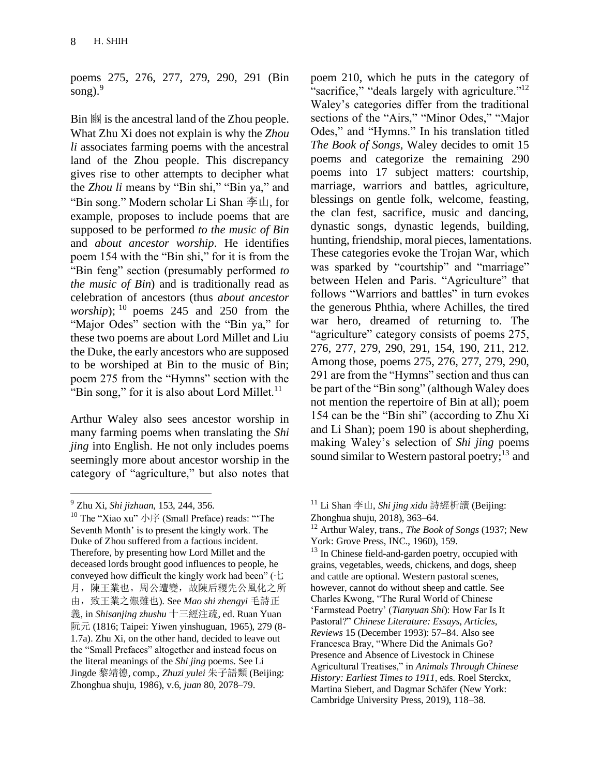poems 275, 276, 277, 279, 290, 291 (Bin song). $9$ 

Bin 豳 is the ancestral land of the Zhou people. What Zhu Xi does not explain is why the *Zhou li* associates farming poems with the ancestral land of the Zhou people. This discrepancy gives rise to other attempts to decipher what the *Zhou li* means by "Bin shi," "Bin ya," and "Bin song." Modern scholar Li Shan 李山, for example, proposes to include poems that are supposed to be performed *to the music of Bin* and *about ancestor worship*. He identifies poem 154 with the "Bin shi," for it is from the "Bin feng" section (presumably performed *to the music of Bin*) and is traditionally read as celebration of ancestors (thus *about ancestor worship*);  $^{10}$  poems 245 and 250 from the "Major Odes" section with the "Bin ya," for these two poems are about Lord Millet and Liu the Duke, the early ancestors who are supposed to be worshiped at Bin to the music of Bin; poem 275 from the "Hymns" section with the "Bin song," for it is also about Lord Millet.<sup>11</sup>

Arthur Waley also sees ancestor worship in many farming poems when translating the *Shi jing* into English. He not only includes poems seemingly more about ancestor worship in the category of "agriculture," but also notes that

<sup>9</sup> Zhu Xi, *Shi jizhuan*, 153, 244, 356.

poem 210, which he puts in the category of "sacrifice," "deals largely with agriculture."<sup>12</sup> Waley's categories differ from the traditional sections of the "Airs," "Minor Odes," "Major Odes," and "Hymns." In his translation titled *The Book of Songs*, Waley decides to omit 15 poems and categorize the remaining 290 poems into 17 subject matters: courtship, marriage, warriors and battles, agriculture, blessings on gentle folk, welcome, feasting, the clan fest, sacrifice, music and dancing, dynastic songs, dynastic legends, building, hunting, friendship, moral pieces, lamentations. These categories evoke the Trojan War, which was sparked by "courtship" and "marriage" between Helen and Paris. "Agriculture" that follows "Warriors and battles" in turn evokes the generous Phthia, where Achilles, the tired war hero, dreamed of returning to. The "agriculture" category consists of poems 275, 276, 277, 279, 290, 291, 154, 190, 211, 212. Among those, poems 275, 276, 277, 279, 290, 291 are from the "Hymns" section and thus can be part of the "Bin song" (although Waley does not mention the repertoire of Bin at all); poem 154 can be the "Bin shi" (according to Zhu Xi and Li Shan); poem 190 is about shepherding, making Waley's selection of *Shi jing* poems sound similar to Western pastoral poetry; $^{13}$  and

<sup>13</sup> In Chinese field-and-garden poetry, occupied with grains, vegetables, weeds, chickens, and dogs, sheep and cattle are optional. Western pastoral scenes, however, cannot do without sheep and cattle. See Charles Kwong, "The Rural World of Chinese 'Farmstead Poetry' (*Tianyuan Shi*): How Far Is It Pastoral?" *Chinese Literature: Essays, Articles, Reviews* 15 (December 1993): 57–84. Also see Francesca Bray, "Where Did the Animals Go? Presence and Absence of Livestock in Chinese Agricultural Treatises," in *Animals Through Chinese History: Earliest Times to 1911*, eds. Roel Sterckx, Martina Siebert, and Dagmar Schäfer (New York: Cambridge University Press, 2019), 118–38.

 $10$  The "Xiao xu" 小序 (Small Preface) reads: "The Seventh Month' is to present the kingly work. The Duke of Zhou suffered from a factious incident. Therefore, by presenting how Lord Millet and the deceased lords brought good influences to people, he conveyed how difficult the kingly work had been" (七 月,陳王業也。周公遭變,故陳后稷先公風化之所 由,致王業之艱難也). See *Mao shi zhengyi* 毛詩正 義, in *Shisanjing zhushu* 十三經注疏, ed. Ruan Yuan 阮元 (1816; Taipei: Yiwen yinshuguan, 1965), 279 (8- 1.7a). Zhu Xi, on the other hand, decided to leave out the "Small Prefaces" altogether and instead focus on the literal meanings of the *Shi jing* poems. See Li Jingde 黎靖德, comp., *Zhuzi yulei* 朱子語類 (Beijing: Zhonghua shuju, 1986), v.6, *juan* 80, 2078–79.

<sup>11</sup> Li Shan 李山, *Shi jing xidu* 詩經析讀 (Beijing: Zhonghua shuju, 2018), 363–64.

<sup>12</sup> Arthur Waley, trans., *The Book of Songs* (1937; New York: Grove Press, INC., 1960), 159.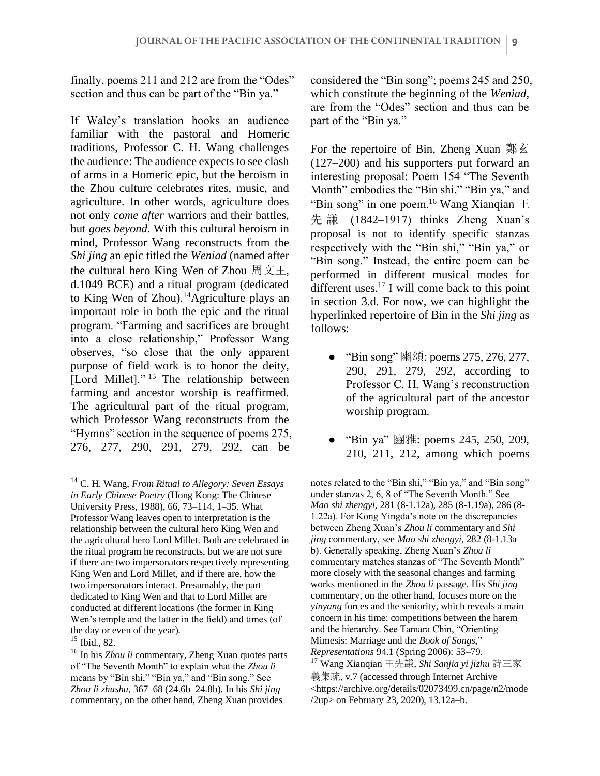finally, poems 211 and 212 are from the "Odes" section and thus can be part of the "Bin ya."

If Waley's translation hooks an audience familiar with the pastoral and Homeric traditions, Professor C. H. Wang challenges the audience: The audience expects to see clash of arms in a Homeric epic, but the heroism in the Zhou culture celebrates rites, music, and agriculture. In other words, agriculture does not only *come after* warriors and their battles, but *goes beyond*. With this cultural heroism in mind, Professor Wang reconstructs from the *Shi jing* an epic titled the *Weniad* (named after the cultural hero King Wen of Zhou 周文王, d.1049 BCE) and a ritual program (dedicated to King Wen of Zhou).<sup>14</sup>Agriculture plays an important role in both the epic and the ritual program. "Farming and sacrifices are brought into a close relationship," Professor Wang observes, "so close that the only apparent purpose of field work is to honor the deity, [Lord Millet]." <sup>15</sup> The relationship between farming and ancestor worship is reaffirmed. The agricultural part of the ritual program, which Professor Wang reconstructs from the "Hymns" section in the sequence of poems 275, 276, 277, 290, 291, 279, 292, can be

considered the "Bin song"; poems 245 and 250, which constitute the beginning of the *Weniad*, are from the "Odes" section and thus can be part of the "Bin ya."

For the repertoire of Bin, Zheng Xuan 鄭玄 (127–200) and his supporters put forward an interesting proposal: Poem 154 "The Seventh Month" embodies the "Bin shi," "Bin ya," and "Bin song" in one poem.<sup>16</sup> Wang Xianqian  $\pm$ 先 謙 (1842–1917) thinks Zheng Xuan's proposal is not to identify specific stanzas respectively with the "Bin shi," "Bin ya," or "Bin song." Instead, the entire poem can be performed in different musical modes for different uses.<sup>17</sup> I will come back to this point in section 3.d. For now, we can highlight the hyperlinked repertoire of Bin in the *Shi jing* as follows:

- "Bin song" 豳頌: poems 275, 276, 277, 290, 291, 279, 292, according to Professor C. H. Wang's reconstruction of the agricultural part of the ancestor worship program.
- "Bin ya" 豳雅: poems 245, 250, 209, 210, 211, 212, among which poems

notes related to the "Bin shi," "Bin ya," and "Bin song" under stanzas 2, 6, 8 of "The Seventh Month." See *Mao shi zhengyi*, 281 (8-1.12a), 285 (8-1.19a), 286 (8- 1.22a). For Kong Yingda's note on the discrepancies between Zheng Xuan's *Zhou li* commentary and *Shi jing* commentary, see *Mao shi zhengyi*, 282 (8-1.13a– b). Generally speaking, Zheng Xuan's *Zhou li* commentary matches stanzas of "The Seventh Month" more closely with the seasonal changes and farming works mentioned in the *Zhou li* passage. His *Shi jing* commentary, on the other hand, focuses more on the *yinyang* forces and the seniority, which reveals a main concern in his time: competitions between the harem and the hierarchy. See Tamara Chin, "Orienting Mimesis: Marriage and the *Book of Songs*," *Representations* 94.1 (Spring 2006): 53–79.

<sup>14</sup> C. H. Wang, *From Ritual to Allegory: Seven Essays in Early Chinese Poetry* (Hong Kong: The Chinese University Press, 1988), 66, 73–114, 1–35. What Professor Wang leaves open to interpretation is the relationship between the cultural hero King Wen and the agricultural hero Lord Millet. Both are celebrated in the ritual program he reconstructs, but we are not sure if there are two impersonators respectively representing King Wen and Lord Millet, and if there are, how the two impersonators interact. Presumably, the part dedicated to King Wen and that to Lord Millet are conducted at different locations (the former in King Wen's temple and the latter in the field) and times (of the day or even of the year).

<sup>15</sup> Ibid., 82.

<sup>16</sup> In his *Zhou li* commentary, Zheng Xuan quotes parts of "The Seventh Month" to explain what the *Zhou li* means by "Bin shi," "Bin ya," and "Bin song." See *Zhou li zhushu*, 367–68 (24.6b–24.8b). In his *Shi jing* commentary, on the other hand, Zheng Xuan provides

<sup>17</sup> Wang Xianqian 王先謙, *Shi Sanjia yi jizhu* 詩三家 義集疏, v.7 (accessed through Internet Archive <https://archive.org/details/02073499.cn/page/n2/mode /2up> on February 23, 2020), 13.12a–b.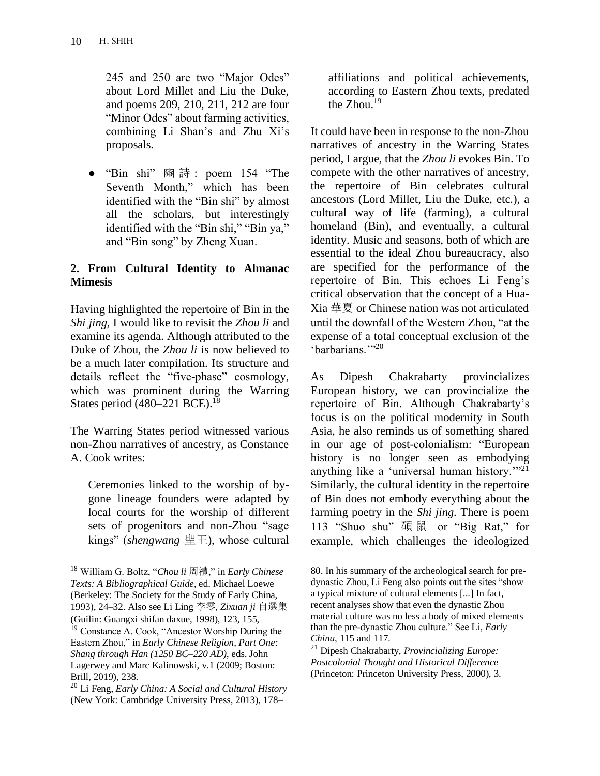245 and 250 are two "Major Odes" about Lord Millet and Liu the Duke, and poems 209, 210, 211, 212 are four "Minor Odes" about farming activities, combining Li Shan's and Zhu Xi's proposals.

● "Bin shi" 豳 詩 : poem 154 "The Seventh Month," which has been identified with the "Bin shi" by almost all the scholars, but interestingly identified with the "Bin shi," "Bin ya," and "Bin song" by Zheng Xuan.

### **2. From Cultural Identity to Almanac Mimesis**

Having highlighted the repertoire of Bin in the *Shi jing*, I would like to revisit the *Zhou li* and examine its agenda. Although attributed to the Duke of Zhou, the *Zhou li* is now believed to be a much later compilation. Its structure and details reflect the "five-phase" cosmology, which was prominent during the Warring States period (480–221 BCE).<sup>18</sup>

The Warring States period witnessed various non-Zhou narratives of ancestry, as Constance A. Cook writes:

Ceremonies linked to the worship of bygone lineage founders were adapted by local courts for the worship of different sets of progenitors and non-Zhou "sage kings" (*shengwang* 聖王), whose cultural affiliations and political achievements, according to Eastern Zhou texts, predated the Zhou.<sup>19</sup>

It could have been in response to the non-Zhou narratives of ancestry in the Warring States period, I argue, that the *Zhou li* evokes Bin. To compete with the other narratives of ancestry, the repertoire of Bin celebrates cultural ancestors (Lord Millet, Liu the Duke, etc.), a cultural way of life (farming), a cultural homeland (Bin), and eventually, a cultural identity. Music and seasons, both of which are essential to the ideal Zhou bureaucracy, also are specified for the performance of the repertoire of Bin. This echoes Li Feng's critical observation that the concept of a Hua-Xia 華夏 or Chinese nation was not articulated until the downfall of the Western Zhou, "at the expense of a total conceptual exclusion of the 'barbarians."<sup>20</sup>

As Dipesh Chakrabarty provincializes European history, we can provincialize the repertoire of Bin. Although Chakrabarty's focus is on the political modernity in South Asia, he also reminds us of something shared in our age of post-colonialism: "European history is no longer seen as embodying anything like a 'universal human history.'"<sup>21</sup> Similarly, the cultural identity in the repertoire of Bin does not embody everything about the farming poetry in the *Shi jing*. There is poem 113 "Shuo shu" 碩 鼠 or "Big Rat," for example, which challenges the ideologized

<sup>18</sup> William G. Boltz, "*Chou li* 周禮," in *Early Chinese Texts: A Bibliographical Guide*, ed. Michael Loewe (Berkeley: The Society for the Study of Early China, 1993), 24–32. Also see Li Ling 李零, *Zixuan ji* 自選集 (Guilin: Guangxi shifan daxue, 1998), 123, 155,

<sup>19</sup> Constance A. Cook, "Ancestor Worship During the Eastern Zhou," in *Early Chinese Religion, Part One: Shang through Han (1250 BC–220 AD)*, eds. John Lagerwey and Marc Kalinowski, v.1 (2009; Boston: Brill, 2019), 238.

<sup>20</sup> Li Feng, *Early China: A Social and Cultural History*  (New York: Cambridge University Press, 2013), 178–

<sup>80.</sup> In his summary of the archeological search for predynastic Zhou, Li Feng also points out the sites "show a typical mixture of cultural elements [...] In fact, recent analyses show that even the dynastic Zhou material culture was no less a body of mixed elements than the pre-dynastic Zhou culture." See Li, *Early China*, 115 and 117.

<sup>21</sup> Dipesh Chakrabarty, *Provincializing Europe: Postcolonial Thought and Historical Difference* (Princeton: Princeton University Press, 2000), 3.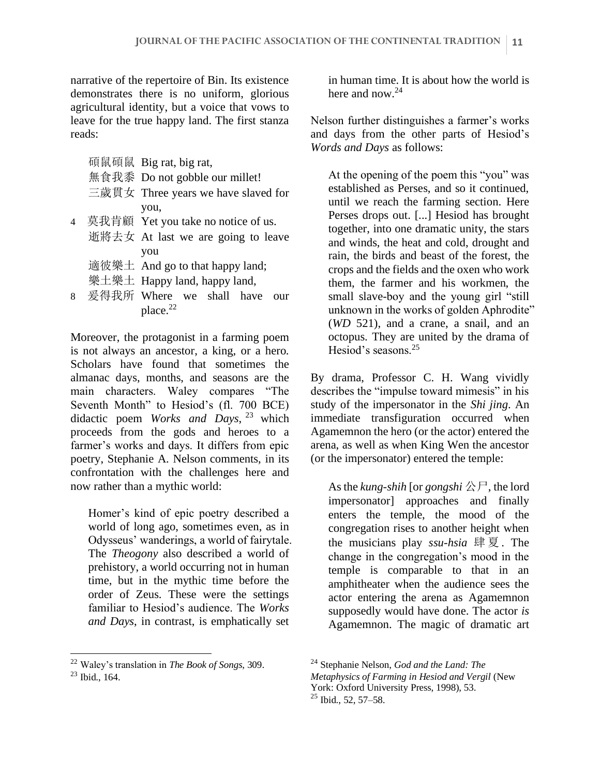narrative of the repertoire of Bin. Its existence demonstrates there is no uniform, glorious agricultural identity, but a voice that vows to leave for the true happy land. The first stanza reads:

- 碩鼠碩鼠 Big rat, big rat, 無食我黍 Do not gobble our millet!
- 三歲貫女 Three years we have slaved for you,
- 4 莫我肯顧 Yet you take no notice of us.
	- 逝將去女 At last we are going to leave you
		- 適彼樂土 And go to that happy land;
		- 樂土樂土 Happy land, happy land,
- 8 爰得我所 Where we shall have our place.<sup>22</sup>

Moreover, the protagonist in a farming poem is not always an ancestor, a king, or a hero. Scholars have found that sometimes the almanac days, months, and seasons are the main characters. Waley compares "The Seventh Month" to Hesiod's (fl. 700 BCE) didactic poem *Works and Days*, <sup>23</sup> which proceeds from the gods and heroes to a farmer's works and days. It differs from epic poetry, Stephanie A. Nelson comments, in its confrontation with the challenges here and now rather than a mythic world:

Homer's kind of epic poetry described a world of long ago, sometimes even, as in Odysseus' wanderings, a world of fairytale. The *Theogony* also described a world of prehistory, a world occurring not in human time, but in the mythic time before the order of Zeus. These were the settings familiar to Hesiod's audience. The *Works and Days*, in contrast, is emphatically set

in human time. It is about how the world is here and now.<sup>24</sup>

Nelson further distinguishes a farmer's works and days from the other parts of Hesiod's *Words and Days* as follows:

At the opening of the poem this "you" was established as Perses, and so it continued, until we reach the farming section. Here Perses drops out. [...] Hesiod has brought together, into one dramatic unity, the stars and winds, the heat and cold, drought and rain, the birds and beast of the forest, the crops and the fields and the oxen who work them, the farmer and his workmen, the small slave-boy and the young girl "still unknown in the works of golden Aphrodite" (*WD* 521), and a crane, a snail, and an octopus. They are united by the drama of Hesiod's seasons.<sup>25</sup>

By drama, Professor C. H. Wang vividly describes the "impulse toward mimesis" in his study of the impersonator in the *Shi jing*. An immediate transfiguration occurred when Agamemnon the hero (or the actor) entered the arena, as well as when King Wen the ancestor (or the impersonator) entered the temple:

As the *kung-shih* [or *gongshi* 公尸, the lord impersonator] approaches and finally enters the temple, the mood of the congregation rises to another height when the musicians play *ssu-hsia* 肆 夏 . The change in the congregation's mood in the temple is comparable to that in an amphitheater when the audience sees the actor entering the arena as Agamemnon supposedly would have done. The actor *is*  Agamemnon. The magic of dramatic art

<sup>22</sup> Waley's translation in *The Book of Songs*, 309.

<sup>23</sup> Ibid., 164.

<sup>24</sup> Stephanie Nelson, *God and the Land: The Metaphysics of Farming in Hesiod and Vergil* (New York: Oxford University Press, 1998), 53. <sup>25</sup> Ibid., 52, 57–58.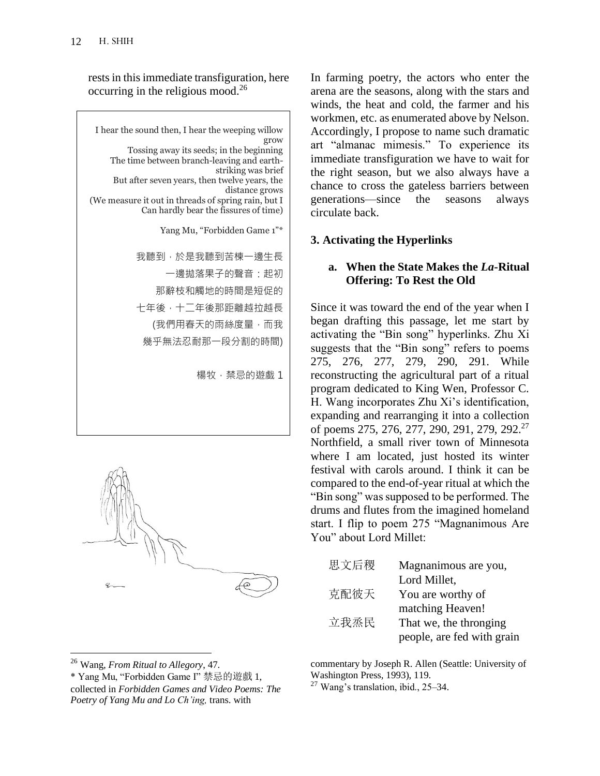rests in this immediate transfiguration, here occurring in the religious mood. $^{26}$ 

I hear the sound then, I hear the weeping willow grow Tossing away its seeds; in the beginning The time between branch-leaving and earthstriking was brief But after seven years, then twelve years, the distance grows (We measure it out in threads of spring rain, but I Can hardly bear the fissures of time) Yang Mu, "Forbidden Game 1"\* 我聽到,於是我聽到苦楝一邊生長 一邊拋落果子的聲音:起初 那辭枝和觸地的時間是短促的 七年後,十二年後那距離越拉越長 (我們用春天的雨絲度量,而我 幾乎無法忍耐那一段分割的時間) 楊牧,禁忌的遊戲 1



In farming poetry, the actors who enter the arena are the seasons, along with the stars and winds, the heat and cold, the farmer and his workmen, etc. as enumerated above by Nelson. Accordingly, I propose to name such dramatic art "almanac mimesis." To experience its immediate transfiguration we have to wait for the right season, but we also always have a chance to cross the gateless barriers between generations—since the seasons always circulate back.

# **3. Activating the Hyperlinks**

### **a. When the State Makes the** *La***-Ritual Offering: To Rest the Old**

Since it was toward the end of the year when I began drafting this passage, let me start by activating the "Bin song" hyperlinks. Zhu Xi suggests that the "Bin song" refers to poems 275, 276, 277, 279, 290, 291. While reconstructing the agricultural part of a ritual program dedicated to King Wen, Professor C. H. Wang incorporates Zhu Xi's identification, expanding and rearranging it into a collection of poems 275, 276, 277, 290, 291, 279, 292.<sup>27</sup> Northfield, a small river town of Minnesota where I am located, just hosted its winter festival with carols around. I think it can be compared to the end-of-year ritual at which the "Bin song" was supposed to be performed. The drums and flutes from the imagined homeland start. I flip to poem 275 "Magnanimous Are You" about Lord Millet:

| 思文后稷 | Magnanimous are you,       |
|------|----------------------------|
|      | Lord Millet,               |
| 克配彼天 | You are worthy of          |
|      | matching Heaven!           |
| 立我烝民 | That we, the thronging     |
|      | people, are fed with grain |

commentary by Joseph R. Allen (Seattle: University of Washington Press, 1993), 119.

 $27$  Wang's translation, ibid., 25–34.

<sup>26</sup> Wang, *From Ritual to Allegory*, 47.

<sup>\*</sup> Yang Mu, "Forbidden Game I" 禁忌的遊戲 1, collected in *Forbidden Games and Video Poems: The Poetry of Yang Mu and Lo Ch'ing,* trans. with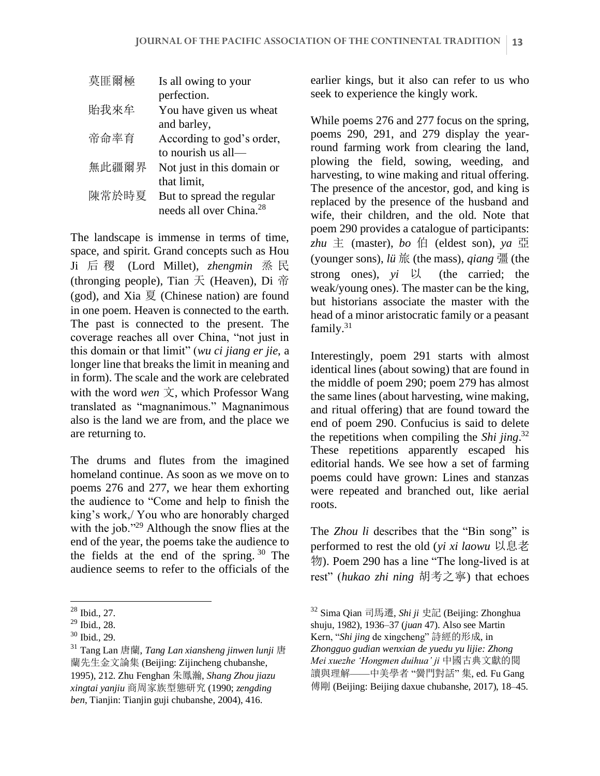| 莫匪爾極  | Is all owing to your                |
|-------|-------------------------------------|
|       | perfection.                         |
| 貽我來牟  | You have given us wheat             |
|       | and barley,                         |
| 帝命率育  | According to god's order,           |
|       | to nourish us all—                  |
| 無此疆爾界 | Not just in this domain or          |
|       | that limit,                         |
| 陳常於時夏 | But to spread the regular           |
|       | needs all over China. <sup>28</sup> |

The landscape is immense in terms of time, space, and spirit. Grand concepts such as Hou Ji 后 稷 (Lord Millet), *zhengmin* 烝 民 (thronging people), Tian  $\overline{\mathcal{F}}$  (Heaven), Di  $\overline{\hat{\mathcal{F}}}$ (god), and Xia 夏 (Chinese nation) are found in one poem. Heaven is connected to the earth. The past is connected to the present. The coverage reaches all over China, "not just in this domain or that limit" (*wu ci jiang er jie*, a longer line that breaks the limit in meaning and in form). The scale and the work are celebrated with the word *wen* 文, which Professor Wang translated as "magnanimous." Magnanimous also is the land we are from, and the place we are returning to.

The drums and flutes from the imagined homeland continue. As soon as we move on to poems 276 and 277, we hear them exhorting the audience to "Come and help to finish the king's work,/ You who are honorably charged with the job."<sup>29</sup> Although the snow flies at the end of the year, the poems take the audience to the fields at the end of the spring.  $30$  The audience seems to refer to the officials of the earlier kings, but it also can refer to us who seek to experience the kingly work.

While poems 276 and 277 focus on the spring, poems 290, 291, and 279 display the yearround farming work from clearing the land, plowing the field, sowing, weeding, and harvesting, to wine making and ritual offering. The presence of the ancestor, god, and king is replaced by the presence of the husband and wife, their children, and the old. Note that poem 290 provides a catalogue of participants: *zhu* 主 (master), *bo* 伯 (eldest son), *ya* 亞 (younger sons), *lü* 旅 (the mass), *qiang* 彊 (the strong ones), *yi* 以 (the carried; the weak/young ones). The master can be the king, but historians associate the master with the head of a minor aristocratic family or a peasant family.<sup>31</sup>

Interestingly, poem 291 starts with almost identical lines (about sowing) that are found in the middle of poem 290; poem 279 has almost the same lines (about harvesting, wine making, and ritual offering) that are found toward the end of poem 290. Confucius is said to delete the repetitions when compiling the *Shi jing*. 32 These repetitions apparently escaped his editorial hands. We see how a set of farming poems could have grown: Lines and stanzas were repeated and branched out, like aerial roots.

The *Zhou li* describes that the "Bin song" is performed to rest the old (*yi xi laowu* 以息老 物). Poem 290 has a line "The long-lived is at rest" (*hukao zhi ning* 胡考之寧) that echoes

<sup>28</sup> Ibid., 27.

<sup>29</sup> Ibid., 28.

 $30$  Ibid., 29.

<sup>31</sup> Tang Lan 唐蘭, *Tang Lan xiansheng jinwen lunji* 唐 蘭先生金文論集 (Beijing: Zijincheng chubanshe, 1995), 212. Zhu Fenghan 朱鳳瀚, *Shang Zhou jiazu xingtai yanjiu* 商周家族型態研究 (1990; *zengding ben*, Tianjin: Tianjin guji chubanshe, 2004), 416.

<sup>32</sup> Sima Qian 司馬遷, *Shi ji* 史記 (Beijing: Zhonghua shuju, 1982), 1936–37 (*juan* 47). Also see Martin Kern, "*Shi jing* de xingcheng" 詩經的形成, in *Zhongguo gudian wenxian de yuedu yu lijie: Zhong Mei xuezhe 'Hongmen duihua' ji* 中國古典文獻的閱 讀與理解——中美學者 "黌門對話" 集, ed. Fu Gang 傅剛 (Beijing: Beijing daxue chubanshe, 2017), 18–45.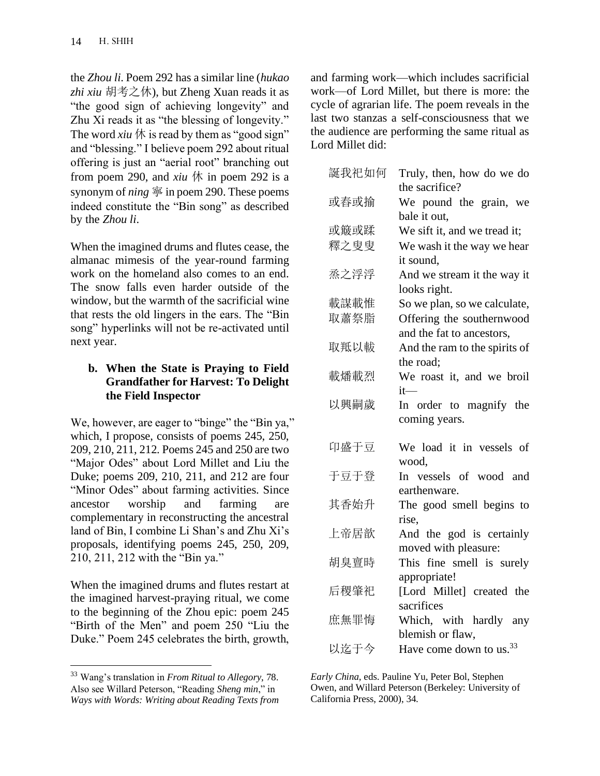the *Zhou li*. Poem 292 has a similar line (*hukao zhi xiu* 胡考之休), but Zheng Xuan reads it as "the good sign of achieving longevity" and Zhu Xi reads it as "the blessing of longevity." The word *xiu*  $\oint$  is read by them as "good sign" and "blessing." I believe poem 292 about ritual offering is just an "aerial root" branching out from poem 290, and  $xiu \nleftrightarrow$  in poem 292 is a synonym of *ning* 寧 in poem 290. These poems indeed constitute the "Bin song" as described by the *Zhou li*.

When the imagined drums and flutes cease, the almanac mimesis of the year-round farming work on the homeland also comes to an end. The snow falls even harder outside of the window, but the warmth of the sacrificial wine that rests the old lingers in the ears. The "Bin song" hyperlinks will not be re-activated until next year.

### **b. When the State is Praying to Field Grandfather for Harvest: To Delight the Field Inspector**

We, however, are eager to "binge" the "Bin ya," which, I propose, consists of poems 245, 250, 209, 210, 211, 212. Poems 245 and 250 are two "Major Odes" about Lord Millet and Liu the Duke; poems 209, 210, 211, and 212 are four "Minor Odes" about farming activities. Since ancestor worship and farming are complementary in reconstructing the ancestral land of Bin, I combine Li Shan's and Zhu Xi's proposals, identifying poems 245, 250, 209, 210, 211, 212 with the "Bin ya."

When the imagined drums and flutes restart at the imagined harvest-praying ritual, we come to the beginning of the Zhou epic: poem 245 "Birth of the Men" and poem 250 "Liu the Duke." Poem 245 celebrates the birth, growth,

and farming work—which includes sacrificial work—of Lord Millet, but there is more: the cycle of agrarian life. The poem reveals in the last two stanzas a self-consciousness that we the audience are performing the same ritual as Lord Millet did:

| 誕我祀如何 | Truly, then, how do we do<br>the sacrifice?             |
|-------|---------------------------------------------------------|
| 或舂或揄  | We pound the grain, we<br>bale it out,                  |
| 或簸或蹂  | We sift it, and we tread it;                            |
| 釋之叟叟  | We wash it the way we hear<br>it sound,                 |
| 烝之浮浮  | And we stream it the way it<br>looks right.             |
| 載謀載惟  | So we plan, so we calculate,                            |
| 取蕭祭脂  | Offering the southernwood<br>and the fat to ancestors,  |
| 取羝以軷  | And the ram to the spirits of<br>the road;              |
| 載燔載烈  | We roast it, and we broil<br>$it-$                      |
| 以興嗣歲  | In order to magnify the<br>coming years.                |
| 卬盛于豆  | We load it in vessels of<br>wood,                       |
| 于豆于登  | In vessels of wood and<br>earthenware.                  |
| 其香始升  | The good smell begins to<br>rise,                       |
| 上帝居歆  | And the god is certainly<br>moved with pleasure:        |
| 胡臭亶時  | This fine smell is surely<br>appropriate!               |
| 后稷肇祀  | [Lord Millet] created the<br>sacrifices                 |
| 庶無罪悔  | Which, with hardly any                                  |
| 以迄于今  | blemish or flaw,<br>Have come down to us. <sup>33</sup> |

*Early China*, eds. Pauline Yu, Peter Bol, Stephen Owen, and Willard Peterson (Berkeley: University of California Press, 2000), 34.

<sup>33</sup> Wang's translation in *From Ritual to Allegory*, 78. Also see Willard Peterson, "Reading *Sheng min*," in *Ways with Words: Writing about Reading Texts from*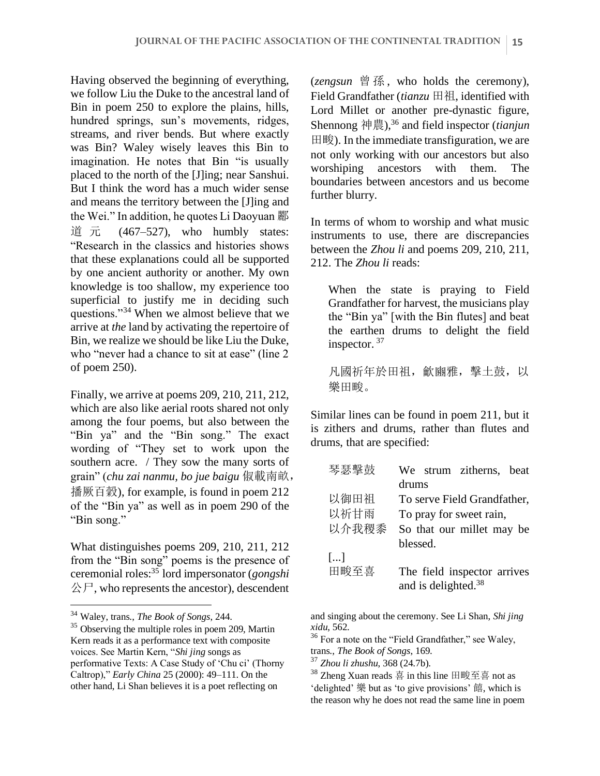Having observed the beginning of everything, we follow Liu the Duke to the ancestral land of Bin in poem 250 to explore the plains, hills, hundred springs, sun's movements, ridges, streams, and river bends. But where exactly was Bin? Waley wisely leaves this Bin to imagination. He notes that Bin "is usually placed to the north of the [J]ing; near Sanshui. But I think the word has a much wider sense and means the territory between the [J]ing and the Wei." In addition, he quotes Li Daoyuan 酈 道 元  $(467-527)$ , who humbly states: "Research in the classics and histories shows that these explanations could all be supported by one ancient authority or another. My own knowledge is too shallow, my experience too superficial to justify me in deciding such questions."<sup>34</sup> When we almost believe that we arrive at *the* land by activating the repertoire of Bin, we realize we should be like Liu the Duke, who "never had a chance to sit at ease" (line 2 of poem 250).

Finally, we arrive at poems 209, 210, 211, 212, which are also like aerial roots shared not only among the four poems, but also between the "Bin ya" and the "Bin song." The exact wording of "They set to work upon the southern acre. / They sow the many sorts of grain" (*chu zai nanmu, bo jue baigu* 俶載南畝, 播厥百穀), for example, is found in poem 212 of the "Bin ya" as well as in poem 290 of the "Bin song."

What distinguishes poems 209, 210, 211, 212 from the "Bin song" poems is the presence of ceremonial roles:<sup>35</sup> lord impersonator (*gongshi*  公尸, who represents the ancestor), descendent (*zengsun* 曾 孫 , who holds the ceremony), Field Grandfather (*tianzu* 田祖, identified with Lord Millet or another pre-dynastic figure, Shennong 神農),<sup>36</sup> and field inspector (*tianjun*  田畯). In the immediate transfiguration, we are not only working with our ancestors but also worshiping ancestors with them. The boundaries between ancestors and us become further blurry.

In terms of whom to worship and what music instruments to use, there are discrepancies between the *Zhou li* and poems 209, 210, 211, 212. The *Zhou li* reads:

When the state is praying to Field Grandfather for harvest, the musicians play the "Bin ya" [with the Bin flutes] and beat the earthen drums to delight the field inspector.<sup>37</sup>

凡國祈年於田祖, 龡豳雅, 擊土鼓, 以 樂田畯。

Similar lines can be found in poem 211, but it is zithers and drums, rather than flutes and drums, that are specified:

| 琴瑟擊鼓                  | We strum zitherns, beat         |
|-----------------------|---------------------------------|
|                       | drums                           |
| 以御田祖                  | To serve Field Grandfather,     |
| 以祈甘雨                  | To pray for sweet rain,         |
| 以介我稷黍                 | So that our millet may be       |
|                       | blessed.                        |
| $\left[\ldots\right]$ |                                 |
| 田畯至喜                  | The field inspector arrives     |
|                       | and is delighted. <sup>38</sup> |

and singing about the ceremony. See Li Shan, *Shi jing xidu*, 562.

<sup>36</sup> For a note on the "Field Grandfather," see Waley, trans., *The Book of Songs*, 169.

<sup>34</sup> Waley, trans., *The Book of Songs*, 244.

<sup>&</sup>lt;sup>35</sup> Observing the multiple roles in poem 209, Martin Kern reads it as a performance text with composite voices. See Martin Kern, "*Shi jing* songs as performative Texts: A Case Study of 'Chu ci' (Thorny Caltrop)," *Early China* 25 (2000): 49–111. On the other hand, Li Shan believes it is a poet reflecting on

<sup>37</sup> *Zhou li zhushu*, 368 (24.7b).

 $38$  Zheng Xuan reads 喜 in this line 田畯至喜 not as 'delighted' 樂 but as 'to give provisions' 饎, which is the reason why he does not read the same line in poem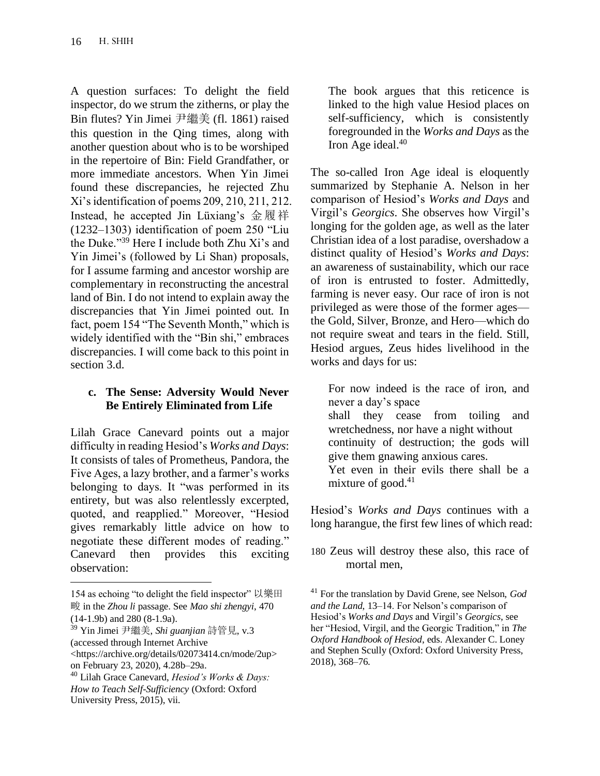A question surfaces: To delight the field inspector, do we strum the zitherns, or play the Bin flutes? Yin Jimei 尹繼美 (fl. 1861) raised this question in the Qing times, along with another question about who is to be worshiped in the repertoire of Bin: Field Grandfather, or more immediate ancestors. When Yin Jimei found these discrepancies, he rejected Zhu Xi's identification of poems 209, 210, 211, 212. Instead, he accepted Jin Lüxiang's 金履祥 (1232–1303) identification of poem 250 "Liu the Duke."<sup>39</sup> Here I include both Zhu Xi's and Yin Jimei's (followed by Li Shan) proposals, for I assume farming and ancestor worship are complementary in reconstructing the ancestral land of Bin. I do not intend to explain away the discrepancies that Yin Jimei pointed out. In fact, poem 154 "The Seventh Month," which is widely identified with the "Bin shi," embraces discrepancies. I will come back to this point in section 3.d.

## **c. The Sense: Adversity Would Never Be Entirely Eliminated from Life**

Lilah Grace Canevard points out a major difficulty in reading Hesiod's *Works and Days*: It consists of tales of Prometheus, Pandora, the Five Ages, a lazy brother, and a farmer's works belonging to days. It "was performed in its entirety, but was also relentlessly excerpted, quoted, and reapplied." Moreover, "Hesiod gives remarkably little advice on how to negotiate these different modes of reading." Canevard then provides this exciting observation:

The book argues that this reticence is linked to the high value Hesiod places on self-sufficiency, which is consistently foregrounded in the *Works and Days* as the Iron Age ideal.<sup>40</sup>

The so-called Iron Age ideal is eloquently summarized by Stephanie A. Nelson in her comparison of Hesiod's *Works and Days* and Virgil's *Georgics*. She observes how Virgil's longing for the golden age, as well as the later Christian idea of a lost paradise, overshadow a distinct quality of Hesiod's *Works and Days*: an awareness of sustainability, which our race of iron is entrusted to foster. Admittedly, farming is never easy. Our race of iron is not privileged as were those of the former ages the Gold, Silver, Bronze, and Hero—which do not require sweat and tears in the field. Still, Hesiod argues, Zeus hides livelihood in the works and days for us:

For now indeed is the race of iron, and never a day's space shall they cease from toiling and wretchedness, nor have a night without continuity of destruction; the gods will give them gnawing anxious cares. Yet even in their evils there shall be a mixture of good. $41$ 

Hesiod's *Works and Days* continues with a long harangue, the first few lines of which read:

<sup>154</sup> as echoing "to delight the field inspector" 以樂田 畯 in the *Zhou li* passage. See *Mao shi zhengyi*, 470 (14-1.9b) and 280 (8-1.9a).

<sup>39</sup> Yin Jimei 尹繼美, *Shi guanjian* 詩管見, v.3 (accessed through Internet Archive <https://archive.org/details/02073414.cn/mode/2up>

on February 23, 2020), 4.28b–29a.

<sup>40</sup> Lilah Grace Canevard, *Hesiod's Works & Days: How to Teach Self-Sufficiency* (Oxford: Oxford University Press, 2015), vii.

<sup>180</sup> Zeus will destroy these also, this race of mortal men,

<sup>41</sup> For the translation by David Grene, see Nelson, *God and the Land*, 13–14. For Nelson's comparison of Hesiod's *Works and Days* and Virgil's *Georgics*, see her "Hesiod, Virgil, and the Georgic Tradition," in *The Oxford Handbook of Hesiod*, eds. Alexander C. Loney and Stephen Scully (Oxford: Oxford University Press, 2018), 368–76.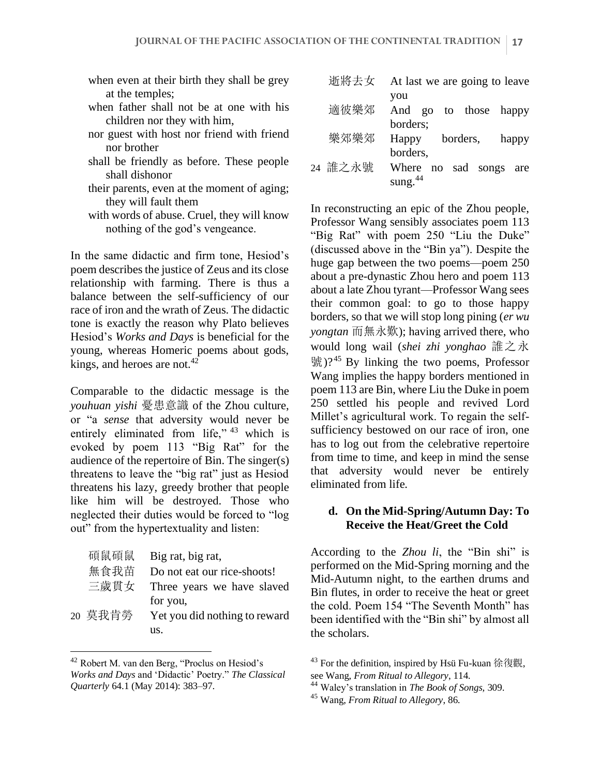- when even at their birth they shall be grey at the temples;
- when father shall not be at one with his children nor they with him,
- nor guest with host nor friend with friend nor brother
- shall be friendly as before. These people shall dishonor
- their parents, even at the moment of aging; they will fault them
- with words of abuse. Cruel, they will know nothing of the god's vengeance.

In the same didactic and firm tone, Hesiod's poem describes the justice of Zeus and its close relationship with farming. There is thus a balance between the self-sufficiency of our race of iron and the wrath of Zeus. The didactic tone is exactly the reason why Plato believes Hesiod's *Works and Days* is beneficial for the young, whereas Homeric poems about gods, kings, and heroes are not. $42$ 

Comparable to the didactic message is the *youhuan yishi* 憂患意識 of the Zhou culture, or "a *sense* that adversity would never be entirely eliminated from life," <sup>43</sup> which is evoked by poem 113 "Big Rat" for the audience of the repertoire of Bin. The singer(s) threatens to leave the "big rat" just as Hesiod threatens his lazy, greedy brother that people like him will be destroyed. Those who neglected their duties would be forced to "log out" from the hypertextuality and listen:

| 碩鼠碩鼠    | Big rat, big rat,             |
|---------|-------------------------------|
| 無食我苗    | Do not eat our rice-shoots!   |
| 三歲貫女    | Three years we have slaved    |
|         | for you,                      |
| 20 莫我肯勞 | Yet you did nothing to reward |
|         | us.                           |

<sup>42</sup> Robert M. van den Berg, "Proclus on Hesiod's *Works and Days* and 'Didactic' Poetry." *The Classical Quarterly* 64.1 (May 2014): 383–97.

| 逝將去女    | At last we are going to leave                       |  |  |  |  |  |
|---------|-----------------------------------------------------|--|--|--|--|--|
| 適彼樂郊    | you<br>And go to those happy<br>borders;            |  |  |  |  |  |
| 樂郊樂郊    | borders,<br>Happy<br>happy                          |  |  |  |  |  |
| 24 誰之永號 | borders,<br>Where no sad songs<br>are<br>sung. $44$ |  |  |  |  |  |

In reconstructing an epic of the Zhou people, Professor Wang sensibly associates poem 113 "Big Rat" with poem 250 "Liu the Duke" (discussed above in the "Bin ya"). Despite the huge gap between the two poems—poem 250 about a pre-dynastic Zhou hero and poem 113 about a late Zhou tyrant—Professor Wang sees their common goal: to go to those happy borders, so that we will stop long pining (*er wu yongtan* 而無永歎); having arrived there, who would long wail (*shei zhi yonghao* 誰之永  $\frac{45}{31}$  ( $\frac{10^{45}}{21}$  By linking the two poems, Professor Wang implies the happy borders mentioned in poem 113 are Bin, where Liu the Duke in poem 250 settled his people and revived Lord Millet's agricultural work. To regain the selfsufficiency bestowed on our race of iron, one has to log out from the celebrative repertoire from time to time, and keep in mind the sense that adversity would never be entirely eliminated from life.

#### **d. On the Mid-Spring/Autumn Day: To Receive the Heat/Greet the Cold**

According to the *Zhou li*, the "Bin shi" is performed on the Mid-Spring morning and the Mid-Autumn night, to the earthen drums and Bin flutes, in order to receive the heat or greet the cold. Poem 154 "The Seventh Month" has been identified with the "Bin shi" by almost all the scholars.

<sup>&</sup>lt;sup>43</sup> For the definition, inspired by Hsü Fu-kuan 徐復觀, see Wang, *From Ritual to Allegory*, 114.

<sup>44</sup> Waley's translation in *The Book of Songs,* 309.

<sup>45</sup> Wang, *From Ritual to Allegory*, 86.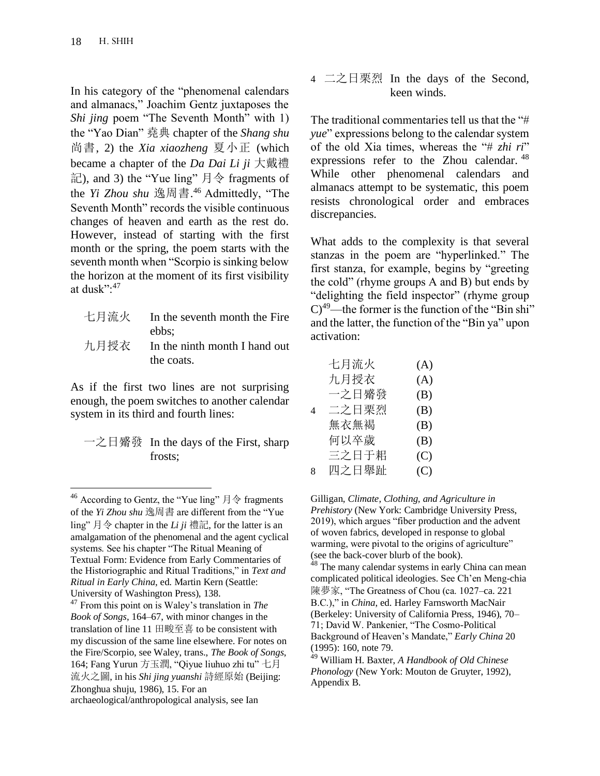In his category of the "phenomenal calendars and almanacs," Joachim Gentz juxtaposes the *Shi jing* poem "The Seventh Month" with 1) the "Yao Dian" 堯典 chapter of the *Shang shu*  尚書, 2) the *Xia xiaozheng* 夏小正 (which became a chapter of the *Da Dai Li ji* 大戴禮 記), and 3) the "Yue ling" 月令 fragments of the *Yi Zhou shu* 逸周書. <sup>46</sup> Admittedly, "The Seventh Month" records the visible continuous changes of heaven and earth as the rest do. However, instead of starting with the first month or the spring, the poem starts with the seventh month when "Scorpio is sinking below the horizon at the moment of its first visibility at dusk":<sup>47</sup>

| 七月流火 In the seventh month the Fire |
|------------------------------------|
| ebbs:                              |
| 九月授衣 In the ninth month I hand out |
| the coats.                         |

As if the first two lines are not surprising enough, the poem switches to another calendar system in its third and fourth lines:

| 一之日觱發 In the days of the First, sharp |
|---------------------------------------|
| frosts:                               |

<sup>&</sup>lt;sup>46</sup> According to Gentz, the "Yue ling"  $\exists \diamondsuit$  fragments of the *Yi Zhou shu* 逸周書 are different from the "Yue ling" 月令 chapter in the *Li ji* 禮記, for the latter is an amalgamation of the phenomenal and the agent cyclical systems. See his chapter "The Ritual Meaning of Textual Form: Evidence from Early Commentaries of the Historiographic and Ritual Traditions," in *Text and Ritual in Early China*, ed. Martin Kern (Seattle: University of Washington Press), 138.

4 
$$
\square
$$
 2  $\square$  2  $\square$  3  $\square$  4  $\square$  2  $\square$  4  $\square$  2  $\square$  3  $\square$  4  $\square$  5  $\square$  6  $\square$  7  $\square$  8  $\square$  8  $\square$  9  $\square$  1  $\square$  1  $\square$  1  $\square$  1  $\square$  1  $\square$  1  $\square$  1  $\square$  1  $\square$  1  $\square$  1  $\square$  1  $\square$  1  $\square$  1  $\square$  1  $\square$  1  $\square$  1  $\square$  1  $\square$  1  $\square$  1  $\square$  1  $\square$  1  $\square$  1  $\square$  1  $\square$  1  $\square$  1  $\square$  1  $\square$  1  $\square$  1  $\square$  1  $\square$  1  $\square$  1  $\square$  1  $\square$  1  $\square$  1  $\square$  1  $\square$  1  $\square$  1  $\square$  1  $\square$  1  $\square$  1  $\square$  1  $\square$  1  $\square$  1  $\square$  1  $\square$  1  $\square$  1  $\square$  1  $\square$  1  $\square$ 

The traditional commentaries tell us that the "# *yue*" expressions belong to the calendar system of the old Xia times, whereas the "# *zhi ri*" expressions refer to the Zhou calendar. <sup>48</sup> While other phenomenal calendars and almanacs attempt to be systematic, this poem resists chronological order and embraces discrepancies.

What adds to the complexity is that several stanzas in the poem are "hyperlinked." The first stanza, for example, begins by "greeting the cold" (rhyme groups A and B) but ends by "delighting the field inspector" (rhyme group  $C^{49}$ —the former is the function of the "Bin shi" and the latter, the function of the "Bin ya" upon activation:

|   | 七月流火  | (A) |
|---|-------|-----|
|   | 九月授衣  | (A) |
|   | 一之日觱發 | (B) |
| 4 | 二之日栗烈 | (B) |
|   | 無衣無褐  | (B) |
|   | 何以卒歲  | (B) |
|   | 三之日于耜 | (C) |
| 8 | 四之日舉趾 | (C) |

Gilligan, *Climate, Clothing, and Agriculture in Prehistory* (New York: Cambridge University Press, 2019), which argues "fiber production and the advent of woven fabrics, developed in response to global warming, were pivotal to the origins of agriculture" (see the back-cover blurb of the book).

<sup>48</sup> The many calendar systems in early China can mean complicated political ideologies. See Ch'en Meng-chia 陳夢家, "The Greatness of Chou (ca. 1027–ca. 221 B.C.)," in *China*, ed. Harley Farnsworth MacNair (Berkeley: University of California Press, 1946), 70– 71; David W. Pankenier, "The Cosmo-Political Background of Heaven's Mandate," *Early China* 20 (1995): 160, note 79.

<sup>47</sup> From this point on is Waley's translation in *The Book of Songs*, 164–67, with minor changes in the translation of line 11 田畯至喜 to be consistent with my discussion of the same line elsewhere. For notes on the Fire/Scorpio, see Waley, trans., *The Book of Songs*, 164; Fang Yurun 方玉潤, "Qiyue liuhuo zhi tu" 七月 流火之圖, in his *Shi jing yuanshi* 詩經原始 (Beijing: Zhonghua shuju, 1986), 15. For an archaeological/anthropological analysis, see Ian

<sup>49</sup> William H. Baxter, *A Handbook of Old Chinese Phonology* (New York: Mouton de Gruyter, 1992), Appendix B.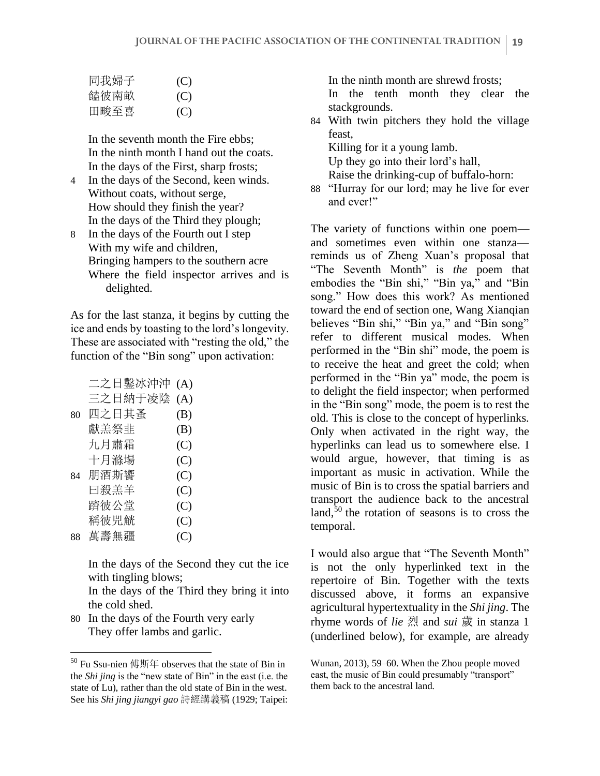| 同我婦子 | (C) |
|------|-----|
| 饁彼南畝 | (C) |
| 田畯至喜 | (C) |

In the seventh month the Fire ebbs; In the ninth month I hand out the coats. In the days of the First, sharp frosts;

- 4 In the days of the Second, keen winds. Without coats, without serge, How should they finish the year? In the days of the Third they plough;
- 8 In the days of the Fourth out I step With my wife and children, Bringing hampers to the southern acre Where the field inspector arrives and is delighted.

As for the last stanza, it begins by cutting the ice and ends by toasting to the lord's longevity. These are associated with "resting the old," the function of the "Bin song" upon activation:

|    | 二之日鑿冰沖沖 | (A) |
|----|---------|-----|
|    | 三之日納于凌陰 | (A) |
| 80 | 四之日其蚤   | (B) |
|    | 獻羔祭韭    | (B) |
|    | 九月肅霜    | (C) |
|    | 十月滌場    | (C) |
| 84 | 朋酒斯響    | (C) |
|    | 曰殺羔羊    | (C) |
|    | 躋彼公堂    | (C) |
|    | 稱彼兕觥    | (C) |
| 88 | 萬壽無疆    | (C) |
|    |         |     |

In the days of the Second they cut the ice with tingling blows;

In the days of the Third they bring it into the cold shed.

80 In the days of the Fourth very early They offer lambs and garlic.

In the ninth month are shrewd frosts; In the tenth month they clear the stackgrounds.

84 With twin pitchers they hold the village feast,

Killing for it a young lamb.

Up they go into their lord's hall, Raise the drinking-cup of buffalo-horn:

88 "Hurray for our lord; may he live for ever and ever!"

The variety of functions within one poem and sometimes even within one stanza reminds us of Zheng Xuan's proposal that "The Seventh Month" is *the* poem that embodies the "Bin shi," "Bin ya," and "Bin song." How does this work? As mentioned toward the end of section one, Wang Xianqian believes "Bin shi," "Bin ya," and "Bin song" refer to different musical modes. When performed in the "Bin shi" mode, the poem is to receive the heat and greet the cold; when performed in the "Bin ya" mode, the poem is to delight the field inspector; when performed in the "Bin song" mode, the poem is to rest the old. This is close to the concept of hyperlinks. Only when activated in the right way, the hyperlinks can lead us to somewhere else. I would argue, however, that timing is as important as music in activation. While the music of Bin is to cross the spatial barriers and transport the audience back to the ancestral land, $50$  the rotation of seasons is to cross the temporal.

I would also argue that "The Seventh Month" is not the only hyperlinked text in the repertoire of Bin. Together with the texts discussed above, it forms an expansive agricultural hypertextuality in the *Shi jing*. The rhyme words of *lie* 烈 and *sui* 歲 in stanza 1 (underlined below), for example, are already

<sup>50</sup> Fu Ssu-nien 傅斯年 observes that the state of Bin in the *Shi jing* is the "new state of Bin" in the east (i.e. the state of Lu), rather than the old state of Bin in the west. See his *Shi jing jiangyi gao* 詩經講義稿 (1929; Taipei:

Wunan, 2013), 59–60. When the Zhou people moved east, the music of Bin could presumably "transport" them back to the ancestral land.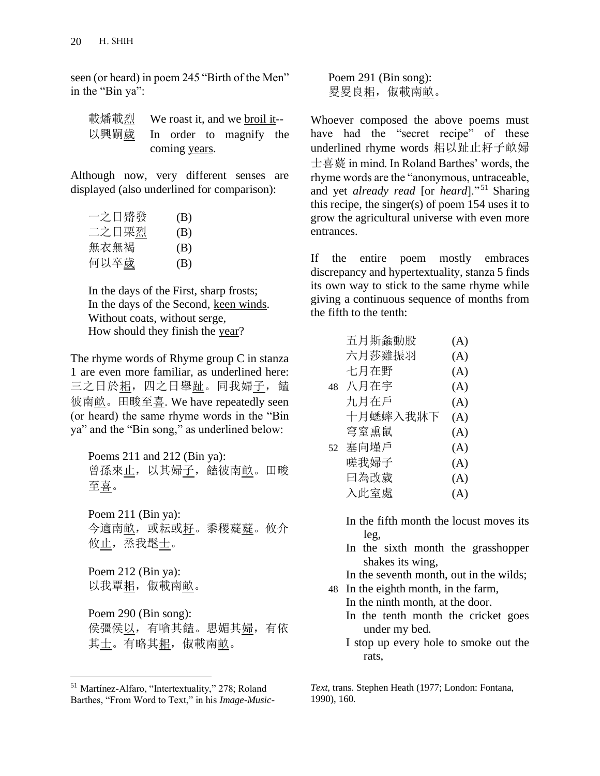seen (or heard) in poem 245 "Birth of the Men" in the "Bin ya":

|                              | 載燔載烈 We roast it, and we broil it-- |  |  |  |  |
|------------------------------|-------------------------------------|--|--|--|--|
| 以興嗣歲 In order to magnify the |                                     |  |  |  |  |
|                              | coming years.                       |  |  |  |  |

Although now, very different senses are displayed (also underlined for comparison):

| 一之日觱發 | (B) |
|-------|-----|
| 二之日栗烈 | (B) |
| 無衣無褐  | (B) |
| 何以卒歲  | (B) |

In the days of the First, sharp frosts; In the days of the Second, keen winds. Without coats, without serge, How should they finish the year?

The rhyme words of Rhyme group C in stanza 1 are even more familiar, as underlined here: 三之日於耜, 四之日舉趾。同我婦子, 饁 彼南畝。田畯至喜. We have repeatedly seen (or heard) the same rhyme words in the "Bin ya" and the "Bin song," as underlined below:

Poems 211 and 212 (Bin ya): 曾孫來止,以其婦子,饁彼南畝。田畯 至喜。

Poem 211 (Bin ya): 今適南畝, 或耘或<u>耔</u>。黍稷薿<u>薿</u>。攸介 攸止,烝我髦<u>士</u>。

Poem 212 (Bin ya): 以我覃耜, 俶載南畝。

Poem 290 (Bin song): 侯彊侯以,有嗿其饁。思媚其婦,有依 其士。有略其耜, 俶載南畝。

Poem 291 (Bin song): 罗畟良耜, 俶載南畝。

Whoever composed the above poems must have had the "secret recipe" of these underlined rhyme words 耜以趾止耔子畝婦 士喜薿 in mind. In Roland Barthes' words, the rhyme words are the "anonymous, untraceable, and yet *already read* [or *heard*]." <sup>51</sup> Sharing this recipe, the singer(s) of poem 154 uses it to grow the agricultural universe with even more entrances.

If the entire poem mostly embraces discrepancy and hypertextuality, stanza 5 finds its own way to stick to the same rhyme while giving a continuous sequence of months from the fifth to the tenth:

|    | 五月斯螽動股   | (A) |
|----|----------|-----|
|    | 六月莎雞振羽   | (A) |
|    | 七月在野     | (A) |
| 48 | 八月在宇     | (A) |
|    | 九月在戶     | (A) |
|    | 十月蟋蟀入我牀下 | (A) |
|    | 穹室熏鼠     | (A) |
| 52 | 塞向墐戶     | (A) |
|    | 嗟我婦子     | (A) |
|    | 曰為改歲     | (A) |
|    | 入此室處     | (A) |

In the fifth month the locust moves its leg,

In the sixth month the grasshopper shakes its wing,

In the seventh month, out in the wilds;

- 48 In the eighth month, in the farm, In the ninth month, at the door.
	- In the tenth month the cricket goes under my bed.
	- I stop up every hole to smoke out the rats,

*Text*, trans. Stephen Heath (1977; London: Fontana, 1990), 160.

<sup>51</sup> Martínez-Alfaro, "Intertextuality," 278; Roland Barthes, "From Word to Text," in his *Image-Music-*